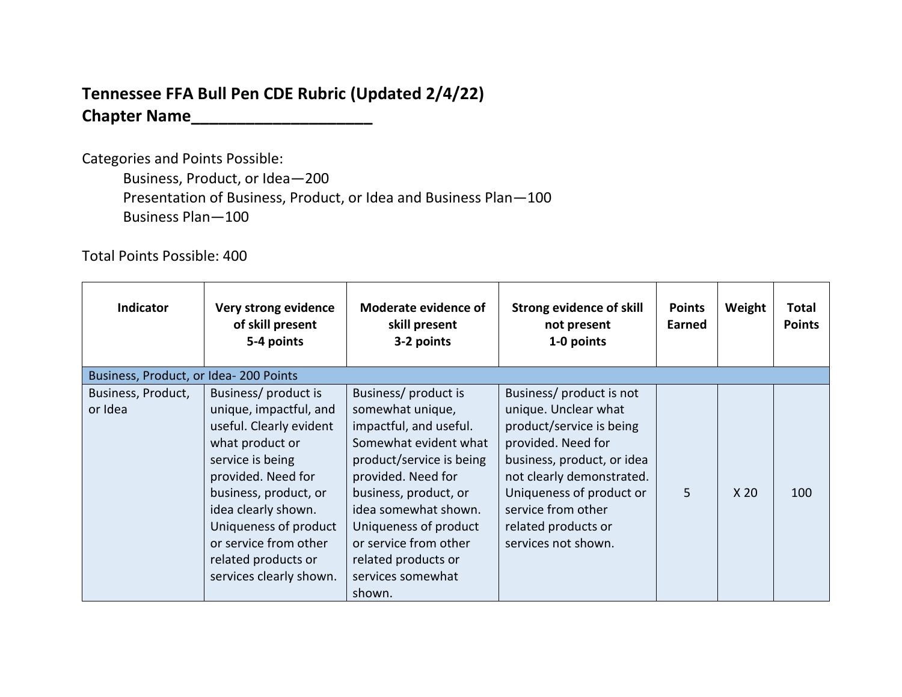## **Tennessee FFA Bull Pen CDE Rubric (Updated 2/4/22) Chapter Name\_\_\_\_\_\_\_\_\_\_\_\_\_\_\_\_\_\_\_\_**

Categories and Points Possible: Business, Product, or Idea—200 Presentation of Business, Product, or Idea and Business Plan—100 Business Plan—100

Total Points Possible: 400

| <b>Indicator</b>                      | Very strong evidence<br>of skill present<br>5-4 points                                                                                                                                                                                                                                     | Moderate evidence of<br>skill present<br>3-2 points                                                                                                                                                                                                                                                    | <b>Strong evidence of skill</b><br>not present<br>1-0 points                                                                                                                                                                                                  | <b>Points</b><br><b>Earned</b> | Weight          | Total<br><b>Points</b> |
|---------------------------------------|--------------------------------------------------------------------------------------------------------------------------------------------------------------------------------------------------------------------------------------------------------------------------------------------|--------------------------------------------------------------------------------------------------------------------------------------------------------------------------------------------------------------------------------------------------------------------------------------------------------|---------------------------------------------------------------------------------------------------------------------------------------------------------------------------------------------------------------------------------------------------------------|--------------------------------|-----------------|------------------------|
| Business, Product, or Idea-200 Points |                                                                                                                                                                                                                                                                                            |                                                                                                                                                                                                                                                                                                        |                                                                                                                                                                                                                                                               |                                |                 |                        |
| Business, Product,<br>or Idea         | Business/ product is<br>unique, impactful, and<br>useful. Clearly evident<br>what product or<br>service is being<br>provided. Need for<br>business, product, or<br>idea clearly shown.<br>Uniqueness of product<br>or service from other<br>related products or<br>services clearly shown. | Business/ product is<br>somewhat unique,<br>impactful, and useful.<br>Somewhat evident what<br>product/service is being<br>provided. Need for<br>business, product, or<br>idea somewhat shown.<br>Uniqueness of product<br>or service from other<br>related products or<br>services somewhat<br>shown. | Business/ product is not<br>unique. Unclear what<br>product/service is being<br>provided. Need for<br>business, product, or idea<br>not clearly demonstrated.<br>Uniqueness of product or<br>service from other<br>related products or<br>services not shown. | 5                              | X <sub>20</sub> | 100                    |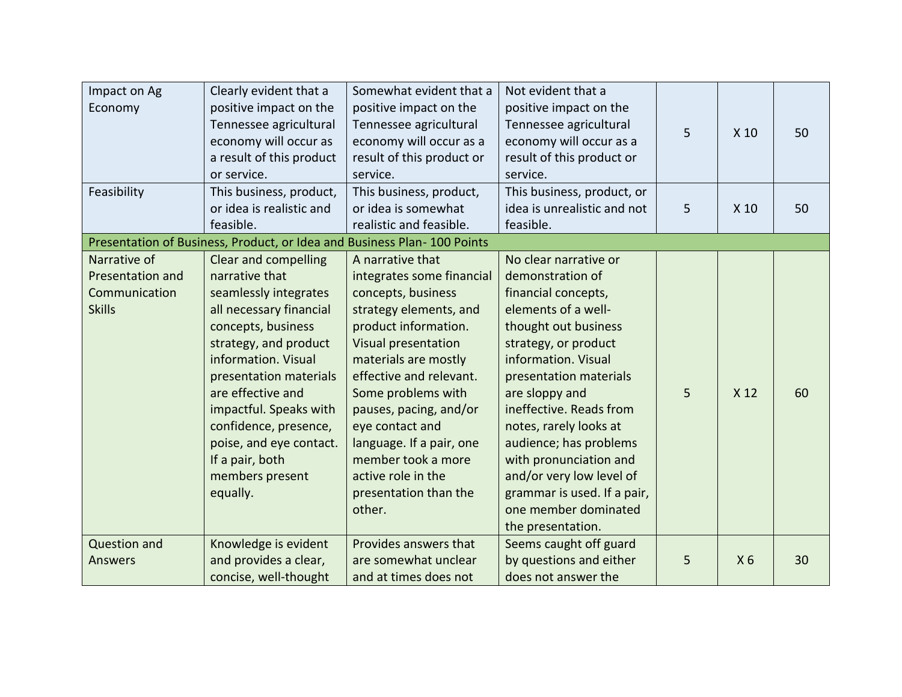| Impact on Ag<br>Economy                                            | Clearly evident that a<br>positive impact on the<br>Tennessee agricultural<br>economy will occur as<br>a result of this product<br>or service.                                                                                                                                                                                                  | Somewhat evident that a<br>positive impact on the<br>Tennessee agricultural<br>economy will occur as a<br>result of this product or<br>service.                                                                                                                                                                                                                               | Not evident that a<br>positive impact on the<br>Tennessee agricultural<br>economy will occur as a<br>result of this product or<br>service.                                                                                                                                                                                                                                                                                  | 5 | X 10            | 50 |
|--------------------------------------------------------------------|-------------------------------------------------------------------------------------------------------------------------------------------------------------------------------------------------------------------------------------------------------------------------------------------------------------------------------------------------|-------------------------------------------------------------------------------------------------------------------------------------------------------------------------------------------------------------------------------------------------------------------------------------------------------------------------------------------------------------------------------|-----------------------------------------------------------------------------------------------------------------------------------------------------------------------------------------------------------------------------------------------------------------------------------------------------------------------------------------------------------------------------------------------------------------------------|---|-----------------|----|
| Feasibility                                                        | This business, product,<br>or idea is realistic and<br>feasible.                                                                                                                                                                                                                                                                                | This business, product,<br>or idea is somewhat<br>realistic and feasible.                                                                                                                                                                                                                                                                                                     | This business, product, or<br>idea is unrealistic and not<br>feasible.                                                                                                                                                                                                                                                                                                                                                      | 5 | X 10            | 50 |
|                                                                    |                                                                                                                                                                                                                                                                                                                                                 | Presentation of Business, Product, or Idea and Business Plan-100 Points                                                                                                                                                                                                                                                                                                       |                                                                                                                                                                                                                                                                                                                                                                                                                             |   |                 |    |
| Narrative of<br>Presentation and<br>Communication<br><b>Skills</b> | Clear and compelling<br>narrative that<br>seamlessly integrates<br>all necessary financial<br>concepts, business<br>strategy, and product<br>information. Visual<br>presentation materials<br>are effective and<br>impactful. Speaks with<br>confidence, presence,<br>poise, and eye contact.<br>If a pair, both<br>members present<br>equally. | A narrative that<br>integrates some financial<br>concepts, business<br>strategy elements, and<br>product information.<br>Visual presentation<br>materials are mostly<br>effective and relevant.<br>Some problems with<br>pauses, pacing, and/or<br>eye contact and<br>language. If a pair, one<br>member took a more<br>active role in the<br>presentation than the<br>other. | No clear narrative or<br>demonstration of<br>financial concepts,<br>elements of a well-<br>thought out business<br>strategy, or product<br>information. Visual<br>presentation materials<br>are sloppy and<br>ineffective. Reads from<br>notes, rarely looks at<br>audience; has problems<br>with pronunciation and<br>and/or very low level of<br>grammar is used. If a pair,<br>one member dominated<br>the presentation. | 5 | X <sub>12</sub> | 60 |
| <b>Question and</b><br>Answers                                     | Knowledge is evident<br>and provides a clear,<br>concise, well-thought                                                                                                                                                                                                                                                                          | Provides answers that<br>are somewhat unclear<br>and at times does not                                                                                                                                                                                                                                                                                                        | Seems caught off guard<br>by questions and either<br>does not answer the                                                                                                                                                                                                                                                                                                                                                    | 5 | X <sub>6</sub>  | 30 |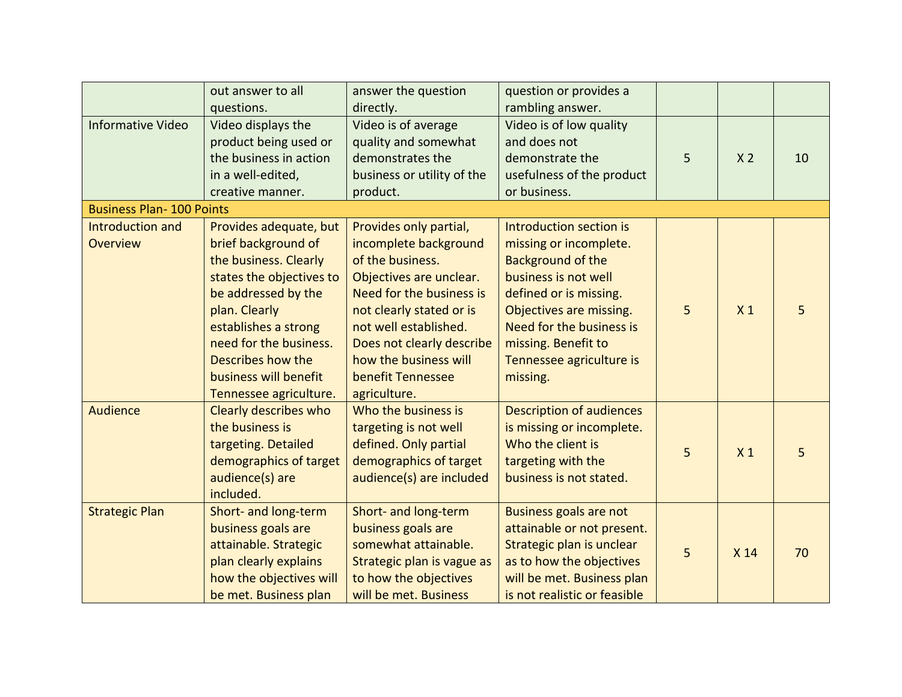|                                     | out answer to all<br>questions.                                                                                                                                                                                                                                      | answer the question<br>directly.                                                                                                                                                                                                                                                  | question or provides a<br>rambling answer.                                                                                                                                                                                                     |   |                |    |
|-------------------------------------|----------------------------------------------------------------------------------------------------------------------------------------------------------------------------------------------------------------------------------------------------------------------|-----------------------------------------------------------------------------------------------------------------------------------------------------------------------------------------------------------------------------------------------------------------------------------|------------------------------------------------------------------------------------------------------------------------------------------------------------------------------------------------------------------------------------------------|---|----------------|----|
| <b>Informative Video</b>            | Video displays the<br>product being used or<br>the business in action<br>in a well-edited,<br>creative manner.                                                                                                                                                       | Video is of average<br>quality and somewhat<br>demonstrates the<br>business or utility of the<br>product.                                                                                                                                                                         | Video is of low quality<br>and does not<br>demonstrate the<br>usefulness of the product<br>or business.                                                                                                                                        | 5 | X <sub>2</sub> | 10 |
| <b>Business Plan-100 Points</b>     |                                                                                                                                                                                                                                                                      |                                                                                                                                                                                                                                                                                   |                                                                                                                                                                                                                                                |   |                |    |
| Introduction and<br><b>Overview</b> | Provides adequate, but<br>brief background of<br>the business. Clearly<br>states the objectives to<br>be addressed by the<br>plan. Clearly<br>establishes a strong<br>need for the business.<br>Describes how the<br>business will benefit<br>Tennessee agriculture. | Provides only partial,<br>incomplete background<br>of the business.<br>Objectives are unclear.<br><b>Need for the business is</b><br>not clearly stated or is<br>not well established.<br>Does not clearly describe<br>how the business will<br>benefit Tennessee<br>agriculture. | Introduction section is<br>missing or incomplete.<br>Background of the<br>business is not well<br>defined or is missing.<br>Objectives are missing.<br>Need for the business is<br>missing. Benefit to<br>Tennessee agriculture is<br>missing. | 5 | X <sub>1</sub> | 5  |
| Audience                            | Clearly describes who<br>the business is<br>targeting. Detailed<br>demographics of target<br>audience(s) are<br>included.                                                                                                                                            | Who the business is<br>targeting is not well<br>defined. Only partial<br>demographics of target<br>audience(s) are included                                                                                                                                                       | <b>Description of audiences</b><br>is missing or incomplete.<br>Who the client is<br>targeting with the<br>business is not stated.                                                                                                             | 5 | X <sub>1</sub> | 5  |
| <b>Strategic Plan</b>               | Short- and long-term<br>business goals are<br>attainable. Strategic<br>plan clearly explains<br>how the objectives will<br>be met. Business plan                                                                                                                     | Short- and long-term<br>business goals are<br>somewhat attainable.<br>Strategic plan is vague as<br>to how the objectives<br>will be met. Business                                                                                                                                | Business goals are not<br>attainable or not present.<br>Strategic plan is unclear<br>as to how the objectives<br>will be met. Business plan<br>is not realistic or feasible                                                                    | 5 | X 14           | 70 |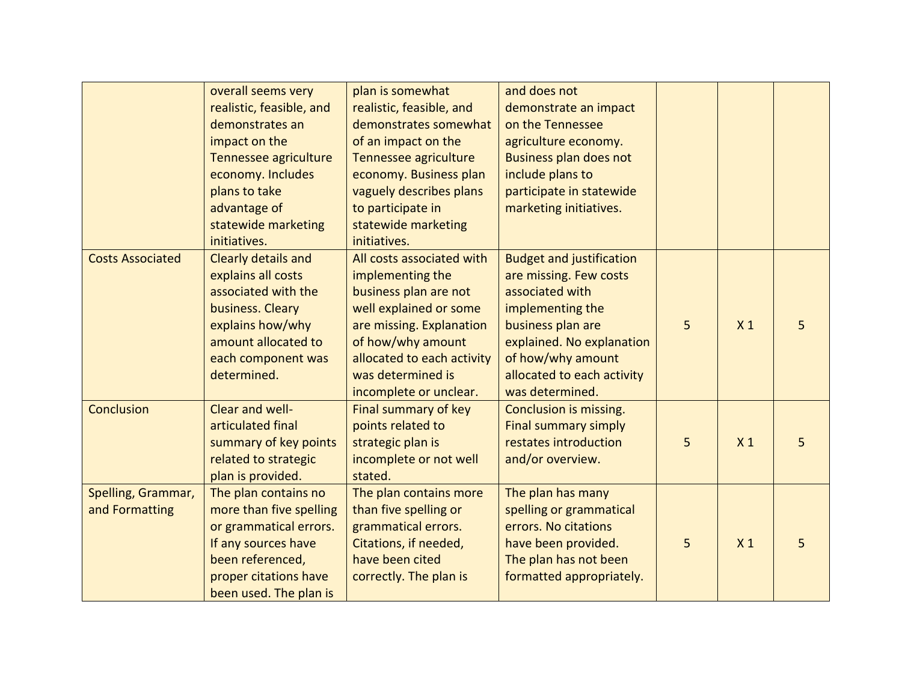|                                      | overall seems very<br>realistic, feasible, and<br>demonstrates an<br>impact on the<br>Tennessee agriculture<br>economy. Includes<br>plans to take<br>advantage of       | plan is somewhat<br>realistic, feasible, and<br>demonstrates somewhat<br>of an impact on the<br>Tennessee agriculture<br>economy. Business plan<br>vaguely describes plans                                                     | and does not<br>demonstrate an impact<br>on the Tennessee<br>agriculture economy.<br><b>Business plan does not</b><br>include plans to<br>participate in statewide                                                       |   |                |    |
|--------------------------------------|-------------------------------------------------------------------------------------------------------------------------------------------------------------------------|--------------------------------------------------------------------------------------------------------------------------------------------------------------------------------------------------------------------------------|--------------------------------------------------------------------------------------------------------------------------------------------------------------------------------------------------------------------------|---|----------------|----|
|                                      | statewide marketing<br>initiatives.                                                                                                                                     | to participate in<br>statewide marketing<br>initiatives.                                                                                                                                                                       | marketing initiatives.                                                                                                                                                                                                   |   |                |    |
| <b>Costs Associated</b>              | Clearly details and<br>explains all costs<br>associated with the<br>business. Cleary<br>explains how/why<br>amount allocated to<br>each component was<br>determined.    | All costs associated with<br>implementing the<br>business plan are not<br>well explained or some<br>are missing. Explanation<br>of how/why amount<br>allocated to each activity<br>was determined is<br>incomplete or unclear. | <b>Budget and justification</b><br>are missing. Few costs<br>associated with<br>implementing the<br>business plan are<br>explained. No explanation<br>of how/why amount<br>allocated to each activity<br>was determined. | 5 | X <sub>1</sub> | 5  |
| Conclusion                           | Clear and well-<br>articulated final<br>summary of key points<br>related to strategic<br>plan is provided.                                                              | Final summary of key<br>points related to<br>strategic plan is<br>incomplete or not well<br>stated.                                                                                                                            | Conclusion is missing.<br><b>Final summary simply</b><br>restates introduction<br>and/or overview.                                                                                                                       | 5 | X <sub>1</sub> | 5  |
| Spelling, Grammar,<br>and Formatting | The plan contains no<br>more than five spelling<br>or grammatical errors.<br>If any sources have<br>been referenced,<br>proper citations have<br>been used. The plan is | The plan contains more<br>than five spelling or<br>grammatical errors.<br>Citations, if needed,<br>have been cited<br>correctly. The plan is                                                                                   | The plan has many<br>spelling or grammatical<br>errors. No citations<br>have been provided.<br>The plan has not been<br>formatted appropriately.                                                                         | 5 | X <sub>1</sub> | 5. |